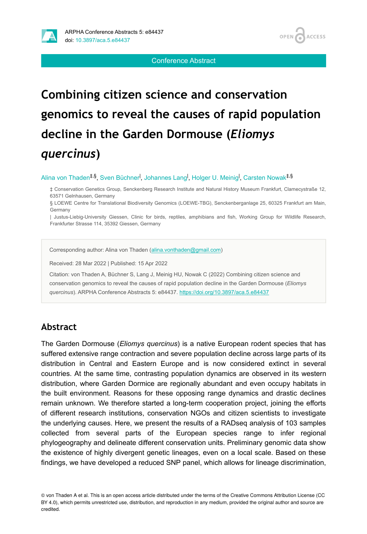

Conference Abstract

OPEN 4

**ACCESS** 

# **Combining citizen science and conservation genomics to reveal the causes of rapid population decline in the Garden Dormouse (***Eliomys quercinus***)**

#### Alina von Thaden<sup>‡,§</sup>, Sven Büchner<sup>I</sup>, Johannes Lang<sup>I</sup>, Holger U. Meinig<sup>I</sup>, Carsten Nowak<sup>‡,§</sup>

‡ Conservation Genetics Group, Senckenberg Research Institute and Natural History Museum Frankfurt, Clamecystraße 12, 63571 Gelnhausen, Germany

§ LOEWE Centre for Translational Biodiversity Genomics (LOEWE-TBG), Senckenberganlage 25, 60325 Frankfurt am Main, Germany

| Justus-Liebig-University Giessen, Clinic for birds, reptiles, amphibians and fish, Working Group for Wildlife Research, Frankfurter Strasse 114, 35392 Giessen, Germany

Corresponding author: Alina von Thaden ([alina.vonthaden@gmail.com](mailto:alina.vonthaden@gmail.com))

Received: 28 Mar 2022 | Published: 15 Apr 2022

Citation: von Thaden A, Büchner S, Lang J, Meinig HU, Nowak C (2022) Combining citizen science and conservation genomics to reveal the causes of rapid population decline in the Garden Dormouse (*Eliomys quercinus*). ARPHA Conference Abstracts 5: e84437. <https://doi.org/10.3897/aca.5.e84437>

### **Abstract**

The Garden Dormouse (*Eliomys quercinus*) is a native European rodent species that has suffered extensive range contraction and severe population decline across large parts of its distribution in Central and Eastern Europe and is now considered extinct in several countries. At the same time, contrasting population dynamics are observed in its western distribution, where Garden Dormice are regionally abundant and even occupy habitats in the built environment. Reasons for these opposing range dynamics and drastic declines remain unknown. We therefore started a long-term cooperation project, joining the efforts of different research institutions, conservation NGOs and citizen scientists to investigate the underlying causes. Here, we present the results of a RADseq analysis of 103 samples collected from several parts of the European species range to infer regional phylogeography and delineate different conservation units. Preliminary genomic data show the existence of highly divergent genetic lineages, even on a local scale. Based on these findings, we have developed a reduced SNP panel, which allows for lineage discrimination,

© von Thaden A et al. This is an open access article distributed under the terms of the Creative Commons Attribution License (CC BY 4.0), which permits unrestricted use, distribution, and reproduction in any medium, provided the original author and source are credited.